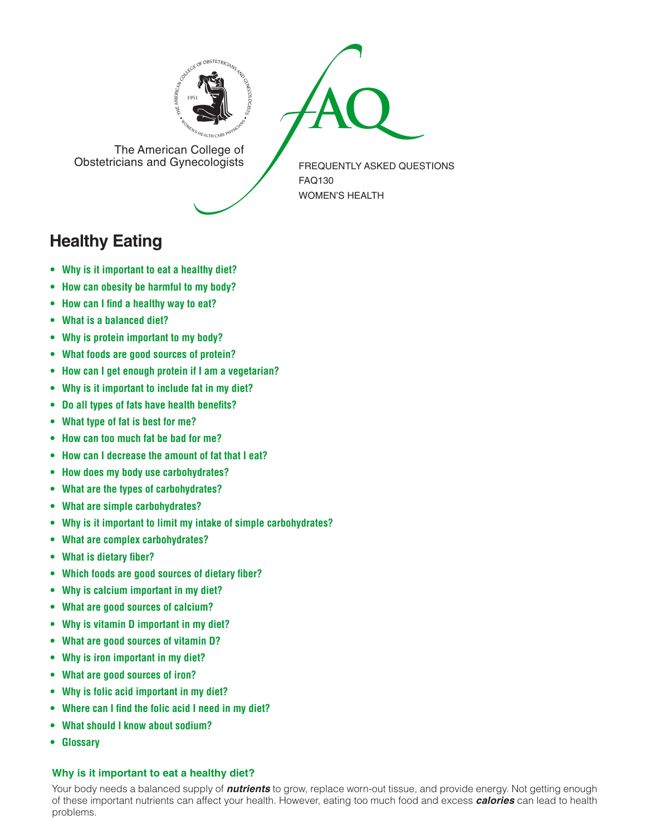



The American College of<br>Obstetricians and Gynecologists

FREQUENTLY ASKED QUESTIONS FAQ130 WOMEN'S HEALTH

# **Healthy Eating**

- **• Why is it [important](#page-0-0) to eat a healthy diet?**
- **• How can obesity be [harmful](#page-1-0) to my body?**
- **• How can I find a [healthy](#page-1-1) way to eat?**
- **• What is a [balanced](#page-1-2) diet?**
- **• Why is protein [important](#page-1-3) to my body?**
- **• What foods are good sources of [protein?](#page-1-4)**
- **• How can I get enough protein if I am a [vegetarian?](#page-1-5)**
- **• Why is it [important](#page-1-6) to include fat in my diet?**
- **• Do all types of fats have health [benefits?](#page-1-7)**
- **[• What](#page-1-8) type of fat is best for me?**
- **[• How](#page-1-9) can too much fat be bad for me?**
- **• How can I [decrease](#page-1-10) the amount of fat that I eat?**
- **• How does my body use [carbohydrates?](#page-2-0)**
- **• What are the types of [carbohydrates?](#page-2-1)**
- **• What are simple [carbohydrates?](#page-2-2)**
- **• Why is it important to limit my intake of simple [carbohydrates?](#page-2-3)**
- **• What are complex [carbohydrates?](#page-2-4)**
- **[• What](#page-2-5) is dietary fiber?**
- **[• Which](#page-2-6) foods are good sources of dietary fiber?**
- **• Why is calcium [important](#page-2-7) in my diet?**
- **• What are good sources of [calcium?](#page-2-8)**
- **• Why is vitamin D [important](#page-2-9) in my diet?**
- **[• What](#page-2-10) are good sources of vitamin D?**
- **• Why is iron [important](#page-2-11) in my diet?**
- **[• What](#page-2-12) are good sources of iron?**
- **• Why is folic acid [important](#page-3-0) in my diet?**
- **[• Where](#page-3-1) can I find the folic acid I need in my diet?**
- **• What should I know about [sodium?](#page-3-2)**
- **[• Glossary](#page-3-3)**

# <span id="page-0-0"></span>**Why is it important to eat a healthy diet?**

Your body needs a balanced supply of *nutrients* to grow, replace worn-out tissue, and provide energy. Not getting enough of these important nutrients can affect your health. However, eating too much food and excess *calories* can lead to health problems.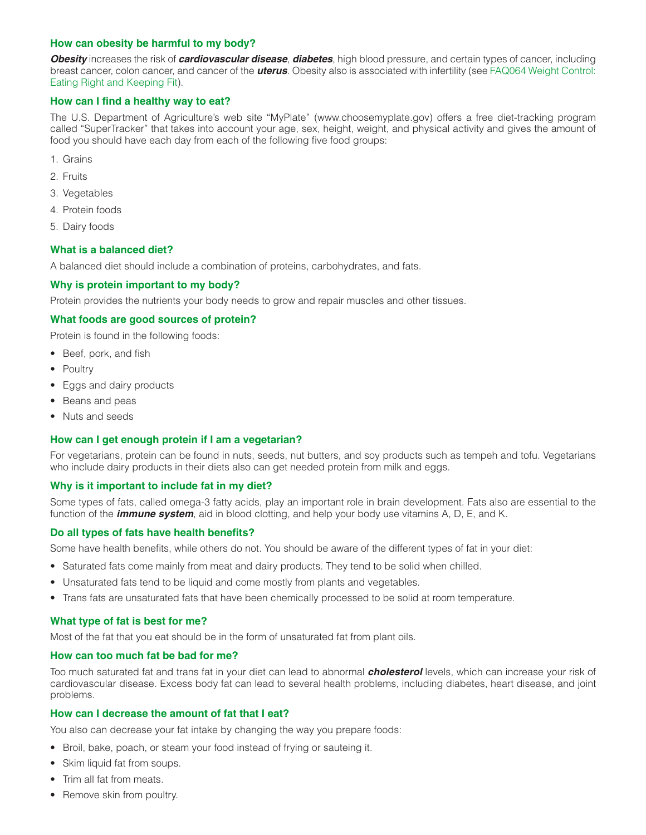## <span id="page-1-0"></span>**How can obesity be harmful to my body?**

*Obesity* increases the risk of *cardiovascular disease*, *diabetes*, high blood pressure, and certain types of cancer, including breast cancer, colon cancer, and cancer of the *uterus*. Obesity also is associated with infertility (see [FAQ064 Weight Control:](http://www.acog.org/~/media/For%20Patients/faq064.ashx) [Eating Right and Keeping Fit](http://www.acog.org/~/media/For%20Patients/faq064.ashx)).

## <span id="page-1-1"></span>**How can I find a healthy way to eat?**

The U.S. Department of Agriculture's web site "MyPlate" (www.choosemyplate.gov) offers a free diet-tracking program called "SuperTracker" that takes into account your age, sex, height, weight, and physical activity and gives the amount of food you should have each day from each of the following five food groups:

- 1. Grains
- 2. Fruits
- 3. Vegetables
- 4. Protein foods
- 5. Dairy foods

## <span id="page-1-2"></span>**What is a balanced diet?**

A balanced diet should include a combination of proteins, carbohydrates, and fats.

## <span id="page-1-3"></span>**Why is protein important to my body?**

Protein provides the nutrients your body needs to grow and repair muscles and other tissues.

## <span id="page-1-4"></span>**What foods are good sources of protein?**

Protein is found in the following foods:

- Beef, pork, and fish
- Poultry
- • Eggs and dairy products
- Beans and peas
- Nuts and seeds

## <span id="page-1-5"></span>**How can I get enough protein if I am a vegetarian?**

For vegetarians, protein can be found in nuts, seeds, nut butters, and soy products such as tempeh and tofu. Vegetarians who include dairy products in their diets also can get needed protein from milk and eggs.

## <span id="page-1-6"></span>**Why is it important to include fat in my diet?**

Some types of fats, called omega-3 fatty acids, play an important role in brain development. Fats also are essential to the function of the *immune system*, aid in blood clotting, and help your body use vitamins A, D, E, and K.

## <span id="page-1-7"></span>**Do all types of fats have health benefits?**

Some have health benefits, while others do not. You should be aware of the different types of fat in your diet:

- Saturated fats come mainly from meat and dairy products. They tend to be solid when chilled.
- Unsaturated fats tend to be liquid and come mostly from plants and vegetables.
- Trans fats are unsaturated fats that have been chemically processed to be solid at room temperature.

# <span id="page-1-8"></span>**What type of fat is best for me?**

Most of the fat that you eat should be in the form of unsaturated fat from plant oils.

## <span id="page-1-9"></span>**How can too much fat be bad for me?**

Too much saturated fat and trans fat in your diet can lead to abnormal *cholesterol* levels, which can increase your risk of cardiovascular disease. Excess body fat can lead to several health problems, including diabetes, heart disease, and joint problems.

## <span id="page-1-10"></span>**How can I decrease the amount of fat that I eat?**

You also can decrease your fat intake by changing the way you prepare foods:

- Broil, bake, poach, or steam your food instead of frying or sauteing it.
- Skim liquid fat from soups.
- Trim all fat from meats.
- Remove skin from poultry.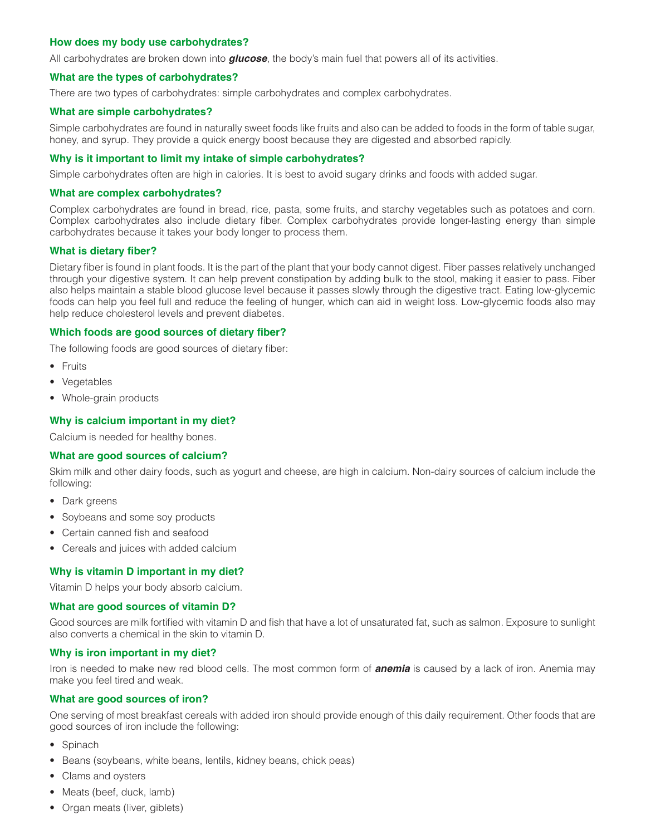## <span id="page-2-0"></span>**How does my body use carbohydrates?**

All carbohydrates are broken down into *glucose*, the body's main fuel that powers all of its activities.

#### <span id="page-2-1"></span>**What are the types of carbohydrates?**

There are two types of carbohydrates: simple carbohydrates and complex carbohydrates.

#### <span id="page-2-2"></span>**What are simple carbohydrates?**

Simple carbohydrates are found in naturally sweet foods like fruits and also can be added to foods in the form of table sugar, honey, and syrup. They provide a quick energy boost because they are digested and absorbed rapidly.

#### <span id="page-2-3"></span>**Why is it important to limit my intake of simple carbohydrates?**

Simple carbohydrates often are high in calories. It is best to avoid sugary drinks and foods with added sugar.

#### <span id="page-2-4"></span>**What are complex carbohydrates?**

Complex carbohydrates are found in bread, rice, pasta, some fruits, and starchy vegetables such as potatoes and corn. Complex carbohydrates also include dietary fiber. Complex carbohydrates provide longer-lasting energy than simple carbohydrates because it takes your body longer to process them.

#### <span id="page-2-5"></span>**What is dietary fiber?**

Dietary fiber is found in plant foods. It is the part of the plant that your body cannot digest. Fiber passes relatively unchanged through your digestive system. It can help prevent constipation by adding bulk to the stool, making it easier to pass. Fiber also helps maintain a stable blood glucose level because it passes slowly through the digestive tract. Eating low-glycemic foods can help you feel full and reduce the feeling of hunger, which can aid in weight loss. Low-glycemic foods also may help reduce cholesterol levels and prevent diabetes.

#### <span id="page-2-6"></span>**Which foods are good sources of dietary fiber?**

The following foods are good sources of dietary fiber:

- • Fruits
- Vegetables
- Whole-grain products

## <span id="page-2-7"></span>**Why is calcium important in my diet?**

Calcium is needed for healthy bones.

## <span id="page-2-8"></span>**What are good sources of calcium?**

Skim milk and other dairy foods, such as yogurt and cheese, are high in calcium. Non-dairy sources of calcium include the following:

- Dark greens
- Soybeans and some soy products
- Certain canned fish and seafood
- • Cereals and juices with added calcium

## <span id="page-2-9"></span>**Why is vitamin D important in my diet?**

Vitamin D helps your body absorb calcium.

#### <span id="page-2-10"></span>**What are good sources of vitamin D?**

Good sources are milk fortified with vitamin D and fish that have a lot of unsaturated fat, such as salmon. Exposure to sunlight also converts a chemical in the skin to vitamin D.

#### <span id="page-2-11"></span>**Why is iron important in my diet?**

Iron is needed to make new red blood cells. The most common form of *anemia* is caused by a lack of iron. Anemia may make you feel tired and weak.

## <span id="page-2-12"></span>**What are good sources of iron?**

One serving of most breakfast cereals with added iron should provide enough of this daily requirement. Other foods that are good sources of iron include the following:

- Spinach
- Beans (soybeans, white beans, lentils, kidney beans, chick peas)
- • Clams and oysters
- Meats (beef, duck, lamb)
- Organ meats (liver, giblets)